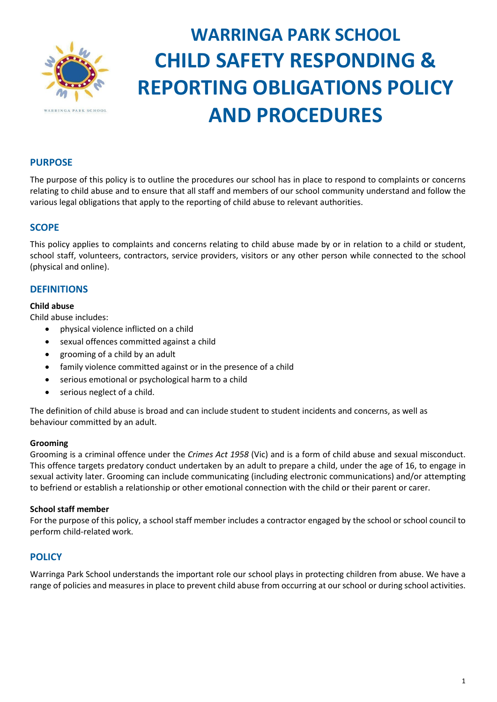

# **WARRINGA PARK SCHOOL CHILD SAFETY RESPONDING & REPORTING OBLIGATIONS POLICY AND PROCEDURES**

## **PURPOSE**

The purpose of this policy is to outline the procedures our school has in place to respond to complaints or concerns relating to child abuse and to ensure that all staff and members of our school community understand and follow the various legal obligations that apply to the reporting of child abuse to relevant authorities.

## **SCOPE**

This policy applies to complaints and concerns relating to child abuse made by or in relation to a child or student, school staff, volunteers, contractors, service providers, visitors or any other person while connected to the school (physical and online).

## **DEFINITIONS**

#### **Child abuse**

Child abuse includes:

- physical violence inflicted on a child
- sexual offences committed against a child
- grooming of a child by an adult
- family violence committed against or in the presence of a child
- serious emotional or psychological harm to a child
- serious neglect of a child.

The definition of child abuse is broad and can include student to student incidents and concerns, as well as behaviour committed by an adult.

#### **Grooming**

Grooming is a criminal offence under the *Crimes Act 1958* (Vic) and is a form of child abuse and sexual misconduct. This offence targets predatory conduct undertaken by an adult to prepare a child, under the age of 16, to engage in sexual activity later. Grooming can include communicating (including electronic communications) and/or attempting to befriend or establish a relationship or other emotional connection with the child or their parent or carer.

#### **School staff member**

For the purpose of this policy, a school staff member includes a contractor engaged by the school or school council to perform child-related work.

#### **POLICY**

Warringa Park School understands the important role our school plays in protecting children from abuse. We have a range of policies and measures in place to prevent child abuse from occurring at our school or during school activities.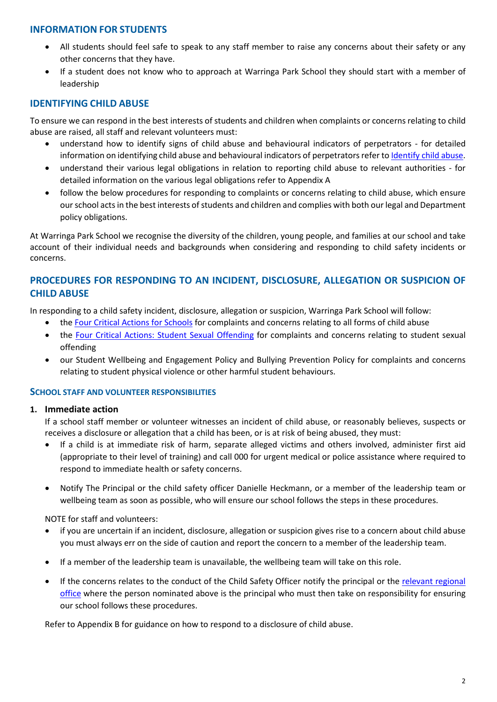#### **INFORMATION FOR STUDENTS**

- All students should feel safe to speak to any staff member to raise any concerns about their safety or any other concerns that they have.
- If a student does not know who to approach at Warringa Park School they should start with a member of leadership

## **IDENTIFYING CHILD ABUSE**

To ensure we can respond in the best interests of students and children when complaints or concerns relating to child abuse are raised, all staff and relevant volunteers must:

- understand how to identify signs of child abuse and behavioural indicators of perpetrators for detailed information on identifying child abuse and behavioural indicators of perpetrators refer t[o Identify child abuse.](https://www.education.vic.gov.au/school/teachers/health/childprotection/Pages/identify.aspx)
- understand their various legal obligations in relation to reporting child abuse to relevant authorities for detailed information on the various legal obligations refer to Appendix A
- follow the below procedures for responding to complaints or concerns relating to child abuse, which ensure our school acts in the best interests of students and children and complies with both our legal and Department policy obligations.

At Warringa Park School we recognise the diversity of the children, young people, and families at our school and take account of their individual needs and backgrounds when considering and responding to child safety incidents or concerns.

## **PROCEDURES FOR RESPONDING TO AN INCIDENT, DISCLOSURE, ALLEGATION OR SUSPICION OF CHILD ABUSE**

In responding to a child safety incident, disclosure, allegation or suspicion, Warringa Park School will follow:

- the [Four Critical Actions for Schools](https://www.education.vic.gov.au/Documents/about/programs/health/protect/FourCriticalActions_ChildAbuse.pdf) for complaints and concerns relating to all forms of child abuse
- the [Four Critical Actions: Student Sexual Offending](https://www.education.vic.gov.au/school/teachers/health/childprotection/Pages/stusexual.aspx) for complaints and concerns relating to student sexual offending
- our Student Wellbeing and Engagement Policy and Bullying Prevention Policy for complaints and concerns relating to student physical violence or other harmful student behaviours.

#### **SCHOOL STAFF AND VOLUNTEER RESPONSIBILITIES**

#### **1. Immediate action**

If a school staff member or volunteer witnesses an incident of child abuse, or reasonably believes, suspects or receives a disclosure or allegation that a child has been, or is at risk of being abused, they must:

- If a child is at immediate risk of harm, separate alleged victims and others involved, administer first aid (appropriate to their level of training) and call 000 for urgent medical or police assistance where required to respond to immediate health or safety concerns.
- Notify The Principal or the child safety officer Danielle Heckmann, or a member of the leadership team or wellbeing team as soon as possible, who will ensure our school follows the steps in these procedures.

NOTE for staff and volunteers:

- if you are uncertain if an incident, disclosure, allegation or suspicion gives rise to a concern about child abuse you must always err on the side of caution and report the concern to a member of the leadership team.
- If a member of the leadership team is unavailable, the wellbeing team will take on this role.
- If the concerns relates to the conduct of the Child Safety Officer notify the principal or the [relevant regional](https://www.vic.gov.au/contact-us-department-education-and-training#regional-office-contact-list)  [office](https://www.vic.gov.au/contact-us-department-education-and-training#regional-office-contact-list) where the person nominated above is the principal who must then take on responsibility for ensuring our school follows these procedures.

Refer to Appendix B for guidance on how to respond to a disclosure of child abuse.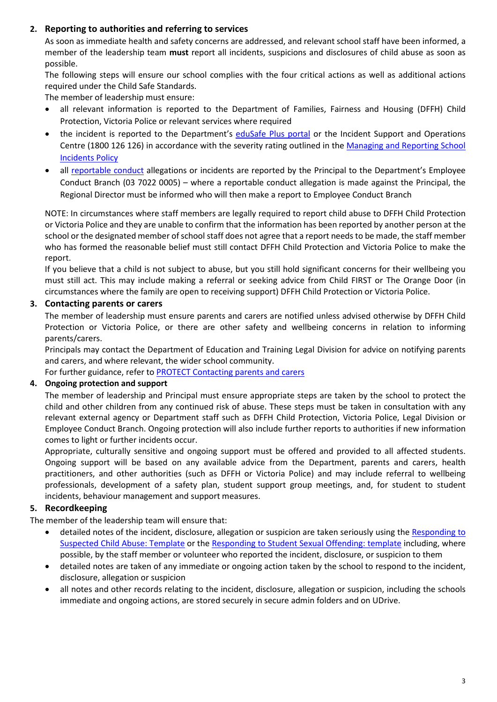## **2. Reporting to authorities and referring to services**

As soon as immediate health and safety concerns are addressed, and relevant school staff have been informed, a member of the leadership team **must** report all incidents, suspicions and disclosures of child abuse as soon as possible.

The following steps will ensure our school complies with the four critical actions as well as additional actions required under the Child Safe Standards.

The member of leadership must ensure:

- all relevant information is reported to the Department of Families, Fairness and Housing (DFFH) Child Protection, Victoria Police or relevant services where required
- the incident is reported to the Department's [eduSafe Plus portal](https://services.educationapps.vic.gov.au/edusafeplus) or the Incident Support and Operations Centre (1800 126 126) in accordance with the severity rating outlined in the [Managing and Reporting School](https://www2.education.vic.gov.au/pal/reporting-and-managing-school-incidents-including-emergencies/policy)  [Incidents Policy](https://www2.education.vic.gov.au/pal/reporting-and-managing-school-incidents-including-emergencies/policy)
- all [reportable conduct](https://www2.education.vic.gov.au/pal/reportable-conduct-scheme/policy) allegations or incidents are reported by the Principal to the Department's Employee Conduct Branch (03 7022 0005) – where a reportable conduct allegation is made against the Principal, the Regional Director must be informed who will then make a report to Employee Conduct Branch

NOTE: In circumstances where staff members are legally required to report child abuse to DFFH Child Protection or Victoria Police and they are unable to confirm that the information has been reported by another person at the school or the designated member of school staff does not agree that a report needs to be made, the staff member who has formed the reasonable belief must still contact DFFH Child Protection and Victoria Police to make the report.

If you believe that a child is not subject to abuse, but you still hold significant concerns for their wellbeing you must still act. This may include making a referral or seeking advice from Child FIRST or The Orange Door (in circumstances where the family are open to receiving support) DFFH Child Protection or Victoria Police.

## **3. Contacting parents or carers**

The member of leadership must ensure parents and carers are notified unless advised otherwise by DFFH Child Protection or Victoria Police, or there are other safety and wellbeing concerns in relation to informing parents/carers.

Principals may contact the Department of Education and Training Legal Division for advice on notifying parents and carers, and where relevant, the wider school community.

For further guidance, refer to [PROTECT Contacting parents and carers](https://www.education.vic.gov.au/school/teachers/health/childprotection/Pages/actionthree.aspx)

## **4. Ongoing protection and support**

The member of leadership and Principal must ensure appropriate steps are taken by the school to protect the child and other children from any continued risk of abuse. These steps must be taken in consultation with any relevant external agency or Department staff such as DFFH Child Protection, Victoria Police, Legal Division or Employee Conduct Branch. Ongoing protection will also include further reports to authorities if new information comes to light or further incidents occur.

Appropriate, culturally sensitive and ongoing support must be offered and provided to all affected students. Ongoing support will be based on any available advice from the Department, parents and carers, health practitioners, and other authorities (such as DFFH or Victoria Police) and may include referral to wellbeing professionals, development of a safety plan, student support group meetings, and, for student to student incidents, behaviour management and support measures.

## **5. Recordkeeping**

The member of the leadership team will ensure that:

- detailed notes of the incident, disclosure, allegation or suspicion are taken seriously using the Responding to [Suspected Child Abuse: Template](https://www.education.vic.gov.au/Documents/about/programs/health/protect/PROTECT_Schoolstemplate.pdf) or the [Responding to Student Sexual Offending: template](https://www.education.vic.gov.au/Documents/about/programs/health/protect/SSO_ReportingTemplate.docx) including, where possible, by the staff member or volunteer who reported the incident, disclosure, or suspicion to them
- detailed notes are taken of any immediate or ongoing action taken by the school to respond to the incident, disclosure, allegation or suspicion
- all notes and other records relating to the incident, disclosure, allegation or suspicion, including the schools immediate and ongoing actions, are stored securely in secure admin folders and on UDrive.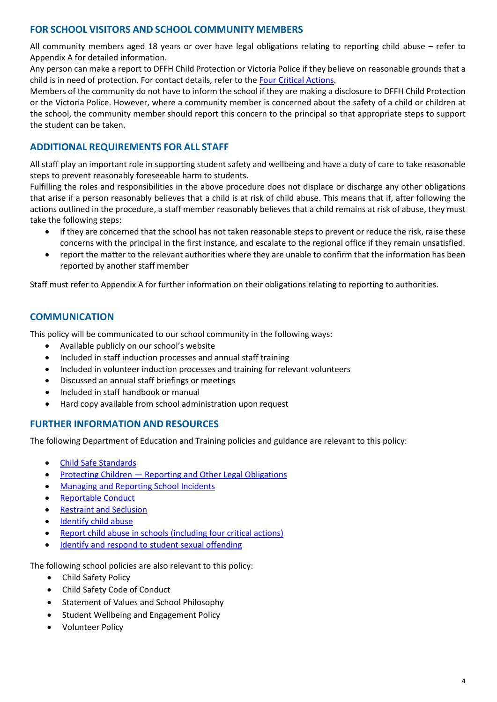## **FOR SCHOOL VISITORS AND SCHOOL COMMUNITY MEMBERS**

All community members aged 18 years or over have legal obligations relating to reporting child abuse – refer to Appendix A for detailed information.

Any person can make a report to DFFH Child Protection or Victoria Police if they believe on reasonable grounds that a child is in need of protection. For contact details, refer to th[e Four Critical Actions.](https://www.education.vic.gov.au/Documents/about/programs/health/protect/FourCriticalActions_ChildAbuse.pdf)

Members of the community do not have to inform the school if they are making a disclosure to DFFH Child Protection or the Victoria Police. However, where a community member is concerned about the safety of a child or children at the school, the community member should report this concern to the principal so that appropriate steps to support the student can be taken.

## **ADDITIONAL REQUIREMENTS FOR ALL STAFF**

All staff play an important role in supporting student safety and wellbeing and have a duty of care to take reasonable steps to prevent reasonably foreseeable harm to students.

Fulfilling the roles and responsibilities in the above procedure does not displace or discharge any other obligations that arise if a person reasonably believes that a child is at risk of child abuse. This means that if, after following the actions outlined in the procedure, a staff member reasonably believes that a child remains at risk of abuse, they must take the following steps:

- if they are concerned that the school has not taken reasonable steps to prevent or reduce the risk, raise these concerns with the principal in the first instance, and escalate to the regional office if they remain unsatisfied.
- report the matter to the relevant authorities where they are unable to confirm that the information has been reported by another staff member

Staff must refer to Appendix A for further information on their obligations relating to reporting to authorities.

## **COMMUNICATION**

This policy will be communicated to our school community in the following ways:

- Available publicly on our school's website
- Included in staff induction processes and annual staff training
- Included in volunteer induction processes and training for relevant volunteers
- Discussed an annual staff briefings or meetings
- Included in staff handbook or manual
- Hard copy available from school administration upon request

## **FURTHER INFORMATION AND RESOURCES**

The following Department of Education and Training policies and guidance are relevant to this policy:

- [Child Safe Standards](https://www2.education.vic.gov.au/pal/child-safe-standards/policy)
- Protecting Children [Reporting and Other Legal Obligations](https://www2.education.vic.gov.au/pal/protecting-children/policy)
- [Managing and Reporting School Incidents](https://www2.education.vic.gov.au/pal/reporting-and-managing-school-incidents-including-emergencies/policy)
- [Reportable Conduct](https://www2.education.vic.gov.au/pal/reportable-conduct-scheme/policy)
- [Restraint and Seclusion](https://www2.education.vic.gov.au/pal/restraint-seclusion/policy)
- [Identify child abuse](https://www.education.vic.gov.au/school/teachers/health/childprotection/Pages/identify.aspx)
- Report child abuse [in schools \(including four critical actions\)](https://www.education.vic.gov.au/school/teachers/health/childprotection/Pages/report.aspx)
- [Identify and respond to student sexual offending](https://www.education.vic.gov.au/school/teachers/health/childprotection/Pages/stusexual.aspx)

The following school policies are also relevant to this policy:

- Child Safety Policy
- Child Safety Code of Conduct
- Statement of Values and School Philosophy
- Student Wellbeing and Engagement Policy
- Volunteer Policy